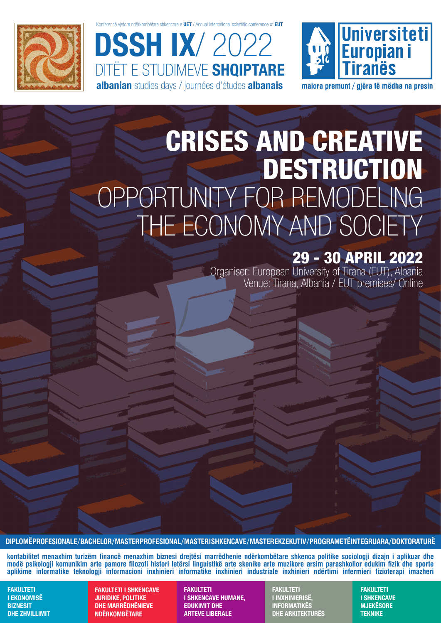

onferencë vietore ndërkombëtare shkencore e UET / Annual International scientific conference of EUT

DSSH IX/ 2022 DITËT E STUDIMEVE **SHQIPTARE** albanian studies days / journées d'études albanais



maiora premunt / giëra të mëdha na presin

# CRISES AND CREATIVE **DESTRUCTION** OPPORTUNITY FOR REMODELING THE ECONOMY AND SOCIETY

### 29 - 30 APRIL 2022

Organiser: European University of Tirana (EUT), Albania Venue: Tirana, Albania / EUT premises/ Online

**DIPLOMË PROFESIONALE / BACHELOR / MASTER PROFESIONAL / MASTER I SHKENCAVE / MASTER EKZEKUTIV / PROGRAME TË INTEGRUARA / DOKTORATURË**

**kontabilitet menaxhim turizëm financë menaxhim biznesi drejtësi marrëdhenie ndërkombëtare shkenca politike sociologji dizajn i aplikuar dhe modë psikologji komunikim arte pamore filozofi histori letërsi linguistikë arte skenike arte muzikore arsim parashkollor edukim fizik dhe sporte aplikime informatike teknologji informacioni inxhinieri informatike inxhinieri industriale inxhinieri ndërtimi infermieri fizioterapi imazheri**

FAKULTETI I EKONOMISË **BIZNESIT** DHE ZHVILLIMIT

FAKULTETI I SHKENCAVE JURIDIKE, POLITIKE DHE MARRËDHËNIEVE NDËRKOMBËTARE

FAKULTETI I SHKENCAVE HUMANE, EDUKIMIT DHE ARTEVE LIBERALE

FAKULTETI I INXHINIERISË, INFORMATIKËS DHE ARKITEKTURËS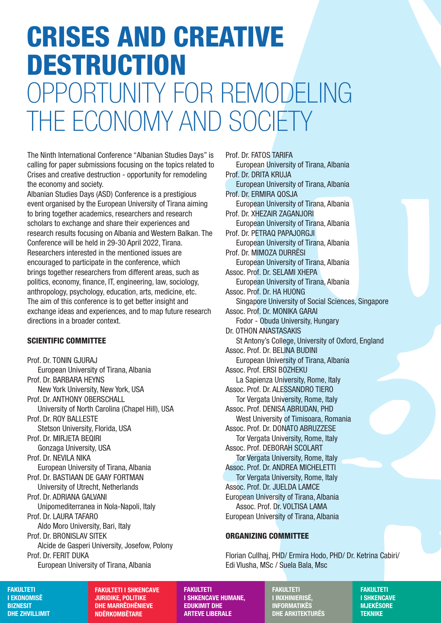# CRISES AND CREATIVE DESTRUCTION OPPORTUNITY FOR REMODELING THE ECONOMY AND SOCIETY

The Ninth International Conference "Albanian Studies Days" is calling for paper submissions focusing on the topics related to Crises and creative destruction - opportunity for remodeling the economy and society.

Albanian Studies Days (ASD) Conference is a prestigious event organised by the European University of Tirana aiming to bring together academics, researchers and research scholars to exchange and share their experiences and research results focusing on Albania and Western Balkan. The Conference will be held in 29-30 April 2022, Tirana. Researchers interested in the mentioned issues are encouraged to participate in the conference, which brings together researchers from different areas, such as politics, economy, finance, IT, engineering, law, sociology, anthropology, psychology, education, arts, medicine, etc. The aim of this conference is to get better insight and exchange ideas and experiences, and to map future research directions in a broader context.

#### SCIENTIFIC COMMITTEE

Prof. Dr. TONIN GJURAJ European University of Tirana, Albania Prof. Dr. BARBARA HEYNS New York University, New York, USA Prof. Dr. ANTHONY OBERSCHALL University of North Carolina (Chapel Hill), USA Prof. Dr. ROY BALLESTE Stetson University, Florida, USA Prof. Dr. MIRJETA BEQIRI Gonzaga University, USA Prof. Dr. NEVILA NIKA European University of Tirana, Albania Prof. Dr. BASTIAAN DE GAAY FORTMAN University of Utrecht, Netherlands Prof. Dr. ADRIANA GALVANI Unipomediterranea in Nola-Napoli, Italy Prof. Dr. LAURA TAFARO Aldo Moro University, Bari, Italy Prof. Dr. BRONISLAV SITEK Alcide de Gasperi University, Josefow, Polony Prof. Dr. FERIT DUKA European University of Tirana, Albania

Prof. Dr. FATOS TARIFA European University of Tirana, Albania Prof. Dr. DRITA KRUJA European University of Tirana, Albania Prof. Dr. ERMIRA QOSJA European University of Tirana, Albania Prof. Dr. XHEZAIR ZAGANJORI European University of Tirana, Albania Prof. Dr. PETRAQ PAPAJORGJI European University of Tirana, Albania Prof. Dr. MIMOZA DURRËSI European University of Tirana, Albania Assoc. Prof. Dr. SELAMI XHEPA European University of Tirana, Albania Assoc. Prof. Dr. HA HUONG Singapore University of Social Sciences, Singapore Assoc. Prof. Dr. MONIKA GARAI Fodor - Obuda University, Hungary Dr. OTHON ANASTASAKIS St Antony's College, University of Oxford, England Assoc. Prof. Dr. BELINA BUDINI European University of Tirana, Albania Assoc. Prof. ERSI BOZHEKU La Sapienza University, Rome, Italy Assoc. Prof. Dr. ALESSANDRO TIERO Tor Vergata University, Rome, Italy Assoc. Prof. DENISA ABRUDAN, PHD West University of Timisoara, Romania Assoc. Prof. Dr. DONATO ABRUZZESE Tor Vergata University, Rome, Italy Assoc. Prof. DEBORAH SCOLART Tor Vergata University, Rome, Italy Assoc. Prof. Dr. ANDREA MICHELETTI Tor Vergata University, Rome, Italy Assoc. Prof. Dr. JUELDA LAMCE European University of Tirana, Albania Assoc. Prof. Dr. VOLTISA LAMA European University of Tirana, Albania

#### ORGANIZING COMMITTEE

Florian Cullhaj, PHD/ Ermira Hodo, PHD/ Dr. Ketrina Cabiri/ Edi Vlusha, MSc / Suela Bala, Msc

FAKULTETI I EKONOMISË **BIZNESIT** DHE ZHVILLIMIT

FAKULTETI I SHKENCAVE JURIDIKE, POLITIKE DHE MARRËDHËNIEVE NDËRKOMBËTARE

FAKULTETI

I SHKENCAVE HUMANE, EDUKIMIT DHE ARTEVE LIBERALE

FAKULTETI I INXHINIERISË, **INFORMATIKËS** DHE ARKITEKTURËS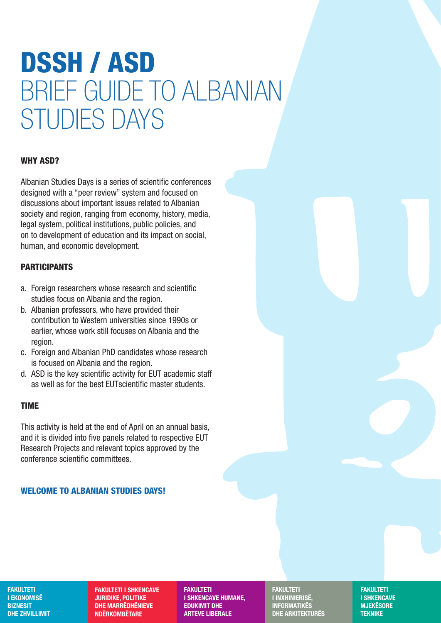# DSSH / ASD BRIEF GUIDE TO ALBANIAN STUDIES DAYS

### WHY ASD?

Albanian Studies Days is a series of scientific conferences designed with a "peer review" system and focused on discussions about important issues related to Albanian society and region, ranging from economy, history, media, legal system, political institutions, public policies, and on to development of education and its impact on social, human, and economic development.

### PARTICIPANTS

- a. Foreign researchers whose research and scientific studies focus on Albania and the region.
- b. Albanian professors, who have provided their contribution to Western universities since 1990s or earlier, whose work still focuses on Albania and the region.
- c. Foreign and Albanian PhD candidates whose research is focused on Albania and the region.
- d. ASD is the key scientific activity for EUT academic staff as well as for the best EUTscientific master students.

### TIME

This activity is held at the end of April on an annual basis, and it is divided into five panels related to respective EUT Research Projects and relevant topics approved by the conference scientific committees.

### WELCOME TO ALBANIAN STUDIES DAYS!

**FAKULTETI** I EKONOMISË **BIZNESIT** DHE ZHVILLIMIT

FAKULTETI I SHKENCAVE JURIDIKE, POLITIKE DHE MARRËDHËNIEVE NDËRKOMBËTARE

FAKULTETI I SHKENCAVE HUMANE, EDUKIMIT DHE ARTEVE LIBERALE

FAKULTETI I INXHINIERISË, INFORMATIKËS DHE ARKITEKTURËS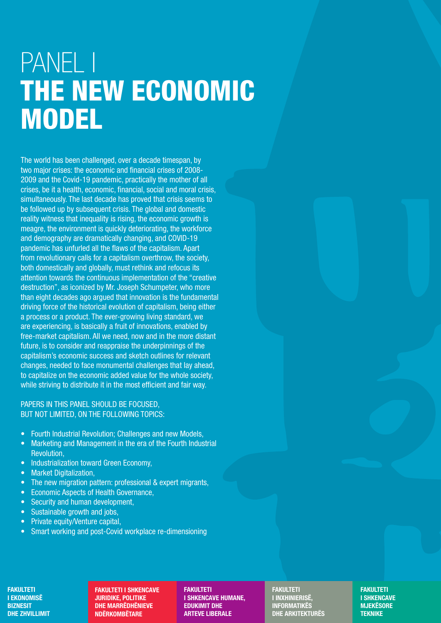# PANEL I THE NEW ECONOMIC MODEL

The world has been challenged, over a decade timespan, by two major crises: the economic and financial crises of 2008- 2009 and the Covid-19 pandemic, practically the mother of all crises, be it a health, economic, financial, social and moral crisis, simultaneously. The last decade has proved that crisis seems to be followed up by subsequent crisis. The global and domestic reality witness that inequality is rising, the economic growth is meagre, the environment is quickly deteriorating, the workforce and demography are dramatically changing, and COVID-19 pandemic has unfurled all the flaws of the capitalism. Apart from revolutionary calls for a capitalism overthrow, the society, both domestically and globally, must rethink and refocus its attention towards the continuous implementation of the "creative destruction", as iconized by Mr. Joseph Schumpeter, who more than eight decades ago argued that innovation is the fundamental driving force of the historical evolution of capitalism, being either a process or a product. The ever-growing living standard, we are experiencing, is basically a fruit of innovations, enabled by free-market capitalism. All we need, now and in the more distant future, is to consider and reappraise the underpinnings of the capitalism's economic success and sketch outlines for relevant changes, needed to face monumental challenges that lay ahead, to capitalize on the economic added value for the whole society, while striving to distribute it in the most efficient and fair way.

#### PAPERS IN THIS PANEL SHOULD BE FOCUSED, BUT NOT LIMITED, ON THE FOLLOWING TOPICS:

- Fourth Industrial Revolution; Challenges and new Models,
- Marketing and Management in the era of the Fourth Industrial Revolution,
- Industrialization toward Green Economy,
- Market Digitalization,
- The new migration pattern: professional & expert migrants,
- Economic Aspects of Health Governance,
- Security and human development.
- Sustainable growth and jobs,
- Private equity/Venture capital,
- Smart working and post-Covid workplace re-dimensioning

FAKULTETI I EKONOMISË **BIZNESIT** DHE ZHVILLIMIT

FAKULTETI I SHKENCAVE JURIDIKE, POLITIKE DHE MARRËDHËNIEVE NDËRKOMBËTARE

FAKULTETI I SHKENCAVE HUMANE, EDUKIMIT DHE ARTEVE LIBERALE

FAKULTETI I INXHINIERISË, INFORMATIKËS DHE ARKITEKTURËS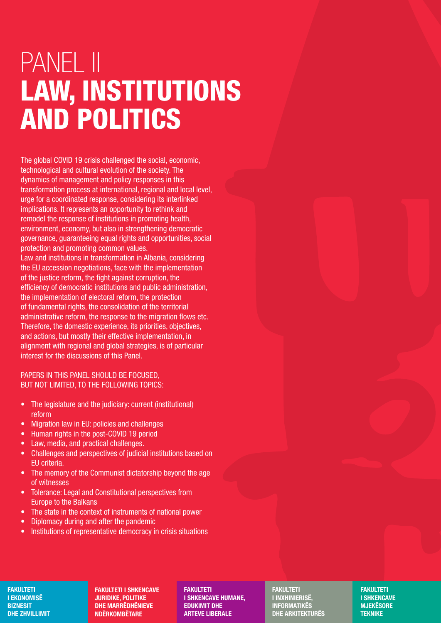# PANEL II LAW, INSTITUTIONS AND POLITICS

The global COVID 19 crisis challenged the social, economic, technological and cultural evolution of the society. The dynamics of management and policy responses in this transformation process at international, regional and local level, urge for a coordinated response, considering its interlinked implications. It represents an opportunity to rethink and remodel the response of institutions in promoting health, environment, economy, but also in strengthening democratic governance, guaranteeing equal rights and opportunities, social protection and promoting common values. Law and institutions in transformation in Albania, considering the EU accession negotiations, face with the implementation of the justice reform, the fight against corruption, the efficiency of democratic institutions and public administration, the implementation of electoral reform, the protection of fundamental rights, the consolidation of the territorial

administrative reform, the response to the migration flows etc. Therefore, the domestic experience, its priorities, objectives, and actions, but mostly their effective implementation, in alignment with regional and global strategies, is of particular interest for the discussions of this Panel.

### PAPERS IN THIS PANEL SHOULD BE FOCUSED, BUT NOT LIMITED, TO THE FOLLOWING TOPICS:

- The legislature and the judiciary: current (institutional) reform
- Migration law in EU: policies and challenges
- Human rights in the post-COVID 19 period
- Law, media, and practical challenges.
- Challenges and perspectives of judicial institutions based on EU criteria.
- The memory of the Communist dictatorship beyond the age of witnesses
- Tolerance: Legal and Constitutional perspectives from Europe to the Balkans
- The state in the context of instruments of national power
- Diplomacy during and after the pandemic
- Institutions of representative democracy in crisis situations

#### **FAKULTETI** I EKONOMISË **BIZNESIT** DHE ZHVILLIMIT

FAKULTETI I SHKENCAVE JURIDIKE, POLITIKE DHE MARRËDHËNIEVE NDËRKOMBËTARE

FAKULTETI I SHKENCAVE HUMANE, EDUKIMIT DHE ARTEVE LIBERALE

FAKULTETI I INXHINIERISË, INFORMATIKËS DHE ARKITEKTURËS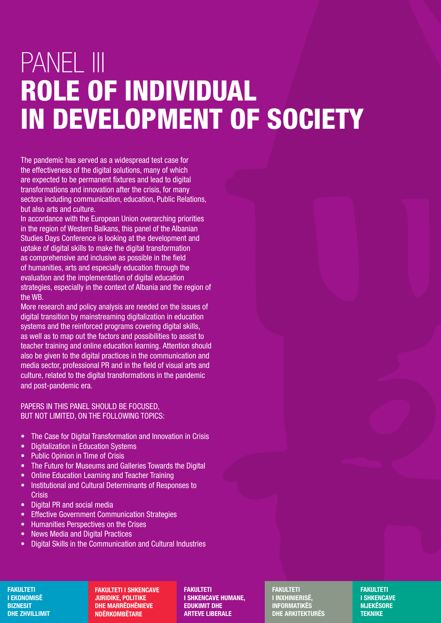# PANEL III ROLE OF INDIVIDUAL IN DEVELOPMENT OF SOCIETY

The pandemic has served as a widespread test case for the effectiveness of the digital solutions, many of which are expected to be permanent fixtures and lead to digital transformations and innovation after the crisis, for many sectors including communication, education, Public Relations, but also arts and culture.

In accordance with the European Union overarching priorities in the region of Western Balkans, this panel of the Albanian Studies Days Conference is looking at the development and uptake of digital skills to make the digital transformation as comprehensive and inclusive as possible in the field of humanities, arts and especially education through the evaluation and the implementation of digital education strategies, especially in the context of Albania and the region of the WB.

More research and policy analysis are needed on the issues of digital transition by mainstreaming digitalization in education systems and the reinforced programs covering digital skills, as well as to map out the factors and possibilities to assist to teacher training and online education learning. Attention should also be given to the digital practices in the communication and media sector, professional PR and in the field of visual arts and culture, related to the digital transformations in the pandemic and post-pandemic era.

#### PAPERS IN THIS PANEL SHOULD BE FOCUSED, BUT NOT LIMITED, ON THE FOLLOWING TOPICS:

- The Case for Digital Transformation and Innovation in Crisis
- Digitalization in Education Systems
- Public Opinion in Time of Crisis
- The Future for Museums and Galleries Towards the Digital
- Online Education Learning and Teacher Training
- Institutional and Cultural Determinants of Responses to **Crisis**
- Digital PR and social media
- **Effective Government Communication Strategies**
- Humanities Perspectives on the Crises
- News Media and Digital Practices
- Digital Skills in the Communication and Cultural Industries

#### **FAKULTETI** I EKONOMISË **BIZNESIT** DHE ZHVILLIMIT

FAKULTETI I SHKENCAVE JURIDIKE, POLITIKE DHE MARRËDHËNIEVE NDËRKOMBËTARE

FAKULTETI I SHKENCAVE HUMANE, EDUKIMIT DHE ARTEVE LIBERALE

FAKULTETI I INXHINIERISË, INFORMATIKËS DHE ARKITEKTURËS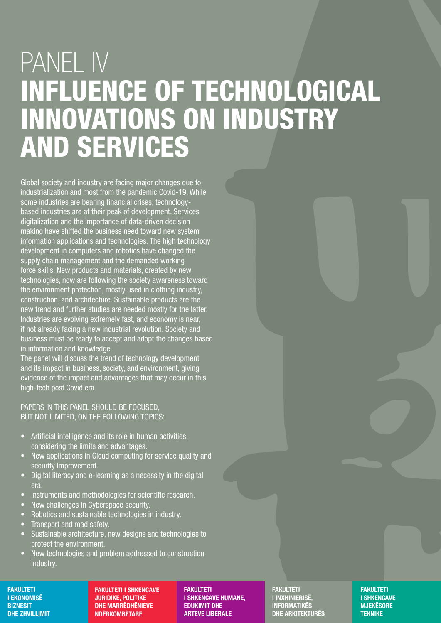# PANEL IV INFLUENCE OF TECHNOLOGICAL INNOVATIONS ON INDUSTRY AND SERVICES

Global society and industry are facing major changes due to industrialization and most from the pandemic Covid-19. While some industries are bearing financial crises, technologybased industries are at their peak of development. Services digitalization and the importance of data-driven decision making have shifted the business need toward new system information applications and technologies. The high technology development in computers and robotics have changed the supply chain management and the demanded working force skills. New products and materials, created by new technologies, now are following the society awareness toward the environment protection, mostly used in clothing industry, construction, and architecture. Sustainable products are the new trend and further studies are needed mostly for the latter. Industries are evolving extremely fast, and economy is near, if not already facing a new industrial revolution. Society and business must be ready to accept and adopt the changes based in information and knowledge.

The panel will discuss the trend of technology development and its impact in business, society, and environment, giving evidence of the impact and advantages that may occur in this high-tech post Covid era.

### PAPERS IN THIS PANEL SHOULD BE FOCUSED, BUT NOT LIMITED, ON THE FOLLOWING TOPICS:

- Artificial intelligence and its role in human activities, considering the limits and advantages.
- New applications in Cloud computing for service quality and security improvement.
- Digital literacy and e-learning as a necessity in the digital era.
- Instruments and methodologies for scientific research.
- New challenges in Cyberspace security.
- Robotics and sustainable technologies in industry.
- Transport and road safety.
- Sustainable architecture, new designs and technologies to protect the environment.
- New technologies and problem addressed to construction industry.

#### **FAKULTETI** I EKONOMISË **BIZNESIT** DHE ZHVILLIMIT

FAKULTETI I SHKENCAVE JURIDIKE, POLITIKE DHE MARRËDHËNIEVE NDËRKOMBËTARE

FAKULTETI I SHKENCAVE HUMANE, EDUKIMIT DHE ARTEVE LIBERALE

FAKULTETI I INXHINIERISË, **INFORMATIKËS** DHE ARKITEKTURËS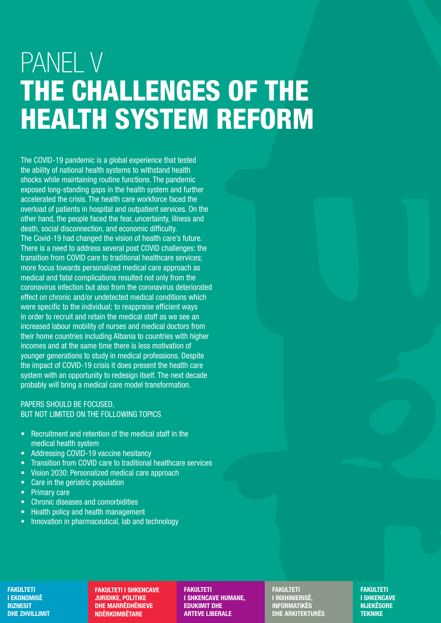# PANEL V THE CHALLENGES OF THE HEALTH SYSTEM REFORM

The COVID-19 pandemic is a global experience that tested the ability of national health systems to withstand health shocks while maintaining routine functions. The pandemic exposed long-standing gaps in the health system and further accelerated the crisis. The health care workforce faced the overload of patients in hospital and outpatient services. On the other hand, the people faced the fear, uncertainty, illness and death, social disconnection, and economic difficulty. The Covid-19 had changed the vision of health care's future. There is a need to address several post COVID challenges: the transition from COVID care to traditional healthcare services; more focus towards personalized medical care approach as medical and fatal complications resulted not only from the coronavirus infection but also from the coronavirus deteriorated effect on chronic and/or undetected medical conditions which were specific to the individual; to reappraise efficient ways in order to recruit and retain the medical staff as we see an increased labour mobility of nurses and medical doctors from their home countries including Albania to countries with higher incomes and at the same time there is less motivation of younger generations to study in medical professions. Despite the impact of COVID-19 crisis it does present the health care system with an opportunity to redesign itself. The next decade probably will bring a medical care model transformation.

#### PAPERS SHOULD BE FOCUSED, BUT NOT LIMITED ON THE FOLLOWING TOPICS

- Recruitment and retention of the medical staff in the medical health system
- Addressing COVID-19 vaccine hesitancy
- Transition from COVID care to traditional healthcare services
- Vision 2030: Personalized medical care approach
- Care in the geriatric population
- Primary care
- Chronic diseases and comorbidities
- Health policy and health management
- Innovation in pharmaceutical, lab and technology

#### FAKULTETI I EKONOMISË **BIZNESIT** DHE ZHVILLIMIT

FAKULTETI I SHKENCAVE JURIDIKE, POLITIKE DHE MARRËDHËNIEVE NDËRKOMBËTARE

FAKULTETI I SHKENCAVE HUMANE, EDUKIMIT DHE ARTEVE LIBERALE

**FAKULTETI** I INXHINIERISË, INFORMATIKËS DHE ARKITEKTURËS